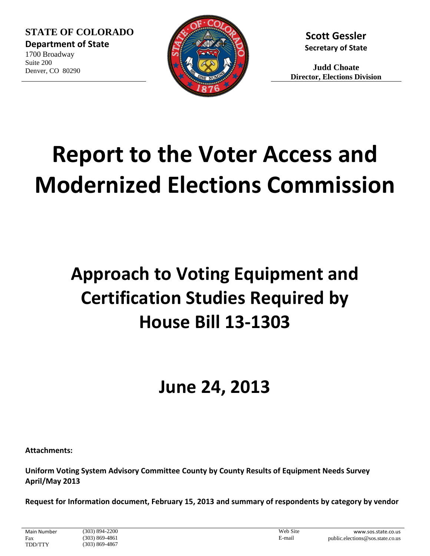**STATE OF COLORADO Department of State**

1700 Broadway Suite 200 Denver, CO 80290



**Scott Gessler Secretary of State**

**Judd Choate Director, Elections Division**

# **Report to the Voter Access and Modernized Elections Commission**

# **Approach to Voting Equipment and Certification Studies Required by House Bill 13-1303**

# **June 24, 2013**

**Attachments:**

**Uniform Voting System Advisory Committee County by County Results of Equipment Needs Survey April/May 2013**

**Request for Information document, February 15, 2013 and summary of respondents by category by vendor**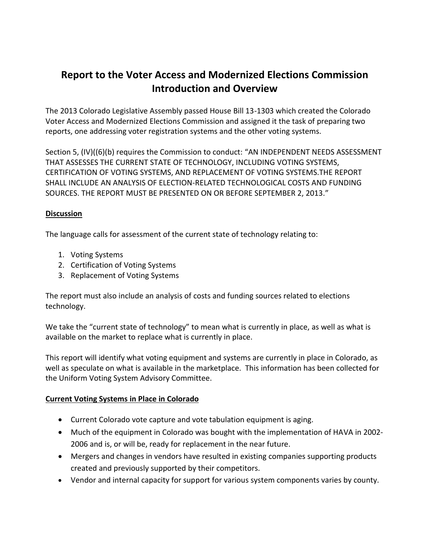### **Report to the Voter Access and Modernized Elections Commission Introduction and Overview**

The 2013 Colorado Legislative Assembly passed House Bill 13-1303 which created the Colorado Voter Access and Modernized Elections Commission and assigned it the task of preparing two reports, one addressing voter registration systems and the other voting systems.

Section 5, (IV)((6)(b) requires the Commission to conduct: "AN INDEPENDENT NEEDS ASSESSMENT THAT ASSESSES THE CURRENT STATE OF TECHNOLOGY, INCLUDING VOTING SYSTEMS, CERTIFICATION OF VOTING SYSTEMS, AND REPLACEMENT OF VOTING SYSTEMS.THE REPORT SHALL INCLUDE AN ANALYSIS OF ELECTION-RELATED TECHNOLOGICAL COSTS AND FUNDING SOURCES. THE REPORT MUST BE PRESENTED ON OR BEFORE SEPTEMBER 2, 2013."

#### **Discussion**

The language calls for assessment of the current state of technology relating to:

- 1. Voting Systems
- 2. Certification of Voting Systems
- 3. Replacement of Voting Systems

The report must also include an analysis of costs and funding sources related to elections technology.

We take the "current state of technology" to mean what is currently in place, as well as what is available on the market to replace what is currently in place.

This report will identify what voting equipment and systems are currently in place in Colorado, as well as speculate on what is available in the marketplace. This information has been collected for the Uniform Voting System Advisory Committee.

#### **Current Voting Systems in Place in Colorado**

- Current Colorado vote capture and vote tabulation equipment is aging.
- Much of the equipment in Colorado was bought with the implementation of HAVA in 2002- 2006 and is, or will be, ready for replacement in the near future.
- Mergers and changes in vendors have resulted in existing companies supporting products created and previously supported by their competitors.
- Vendor and internal capacity for support for various system components varies by county.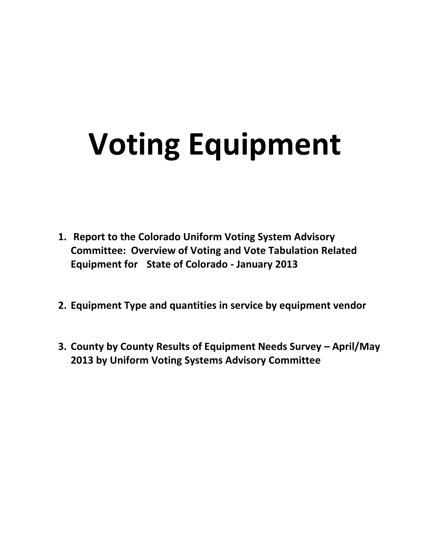# **Voting Equipment**

- **1. Report to the Colorado Uniform Voting System Advisory Committee: Overview of Voting and Vote Tabulation Related Equipment for State of Colorado - January 2013**
- **2. Equipment Type and quantities in service by equipment vendor**
- **3. County by County Results of Equipment Needs Survey April/May 2013 by Uniform Voting Systems Advisory Committee**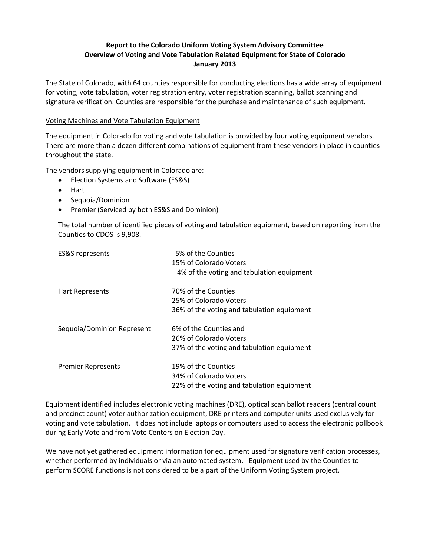#### **Report to the Colorado Uniform Voting System Advisory Committee Overview of Voting and Vote Tabulation Related Equipment for State of Colorado January 2013**

The State of Colorado, with 64 counties responsible for conducting elections has a wide array of equipment for voting, vote tabulation, voter registration entry, voter registration scanning, ballot scanning and signature verification. Counties are responsible for the purchase and maintenance of such equipment.

#### Voting Machines and Vote Tabulation Equipment

The equipment in Colorado for voting and vote tabulation is provided by four voting equipment vendors. There are more than a dozen different combinations of equipment from these vendors in place in counties throughout the state.

The vendors supplying equipment in Colorado are:

- Election Systems and Software (ES&S)
- Hart
- Sequoia/Dominion
- Premier (Serviced by both ES&S and Dominion)

The total number of identified pieces of voting and tabulation equipment, based on reporting from the Counties to CDOS is 9,908.

| <b>ES&amp;S</b> represents | 5% of the Counties                         |
|----------------------------|--------------------------------------------|
|                            | 15% of Colorado Voters                     |
|                            | 4% of the voting and tabulation equipment  |
| Hart Represents            | 70% of the Counties                        |
|                            | 25% of Colorado Voters                     |
|                            | 36% of the voting and tabulation equipment |
| Sequoia/Dominion Represent | 6% of the Counties and                     |
|                            | 26% of Colorado Voters                     |
|                            | 37% of the voting and tabulation equipment |
| <b>Premier Represents</b>  | 19% of the Counties                        |
|                            | 34% of Colorado Voters                     |
|                            | 22% of the voting and tabulation equipment |

Equipment identified includes electronic voting machines (DRE), optical scan ballot readers (central count and precinct count) voter authorization equipment, DRE printers and computer units used exclusively for voting and vote tabulation. It does not include laptops or computers used to access the electronic pollbook during Early Vote and from Vote Centers on Election Day.

We have not yet gathered equipment information for equipment used for signature verification processes, whether performed by individuals or via an automated system. Equipment used by the Counties to perform SCORE functions is not considered to be a part of the Uniform Voting System project.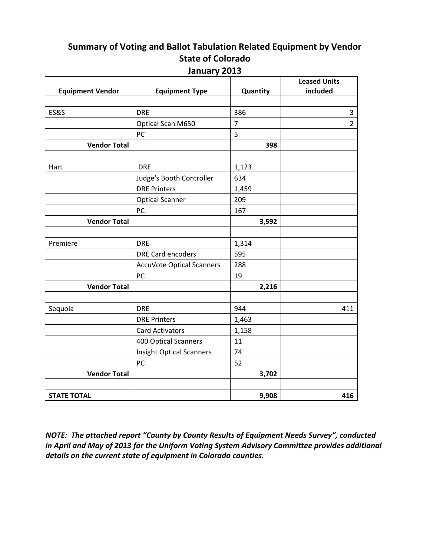## **Summary of Voting and Ballot Tabulation Related Equipment by Vendor State of Colorado**

|                         |                                  |                | <b>Leased Units</b> |
|-------------------------|----------------------------------|----------------|---------------------|
| <b>Equipment Vendor</b> | <b>Equipment Type</b>            | Quantity       | included            |
|                         |                                  |                |                     |
| <b>ES&amp;S</b>         | <b>DRE</b>                       | 386            | 3<br>$\overline{2}$ |
|                         | Optical Scan M650                | $\overline{7}$ |                     |
|                         | PC                               | 5              |                     |
| <b>Vendor Total</b>     |                                  | 398            |                     |
|                         |                                  |                |                     |
| Hart                    | <b>DRE</b>                       | 1,123          |                     |
|                         | Judge's Booth Controller         | 634            |                     |
|                         | <b>DRE Printers</b>              | 1,459          |                     |
|                         | <b>Optical Scanner</b>           | 209            |                     |
|                         | PC                               | 167            |                     |
| <b>Vendor Total</b>     |                                  | 3,592          |                     |
|                         |                                  |                |                     |
| Premiere                | <b>DRE</b>                       | 1,314          |                     |
|                         | <b>DRE Card encoders</b>         | 595            |                     |
|                         | <b>AccuVote Optical Scanners</b> | 288            |                     |
|                         | PC                               | 19             |                     |
| <b>Vendor Total</b>     |                                  | 2,216          |                     |
|                         |                                  |                |                     |
| Sequoia                 | <b>DRE</b>                       | 944            | 411                 |
|                         | <b>DRE Printers</b>              | 1,463          |                     |
|                         | <b>Card Activators</b>           | 1,158          |                     |
|                         | 400 Optical Scanners             | 11             |                     |
|                         | <b>Insight Optical Scanners</b>  | 74             |                     |
|                         | PC                               | 52             |                     |
| <b>Vendor Total</b>     |                                  | 3,702          |                     |
|                         |                                  |                |                     |
| <b>STATE TOTAL</b>      |                                  | 9,908          | 416                 |

**January 2013**

*NOTE: The attached report "County by County Results of Equipment Needs Survey", conducted in April and May of 2013 for the Uniform Voting System Advisory Committee provides additional details on the current state of equipment in Colorado counties.*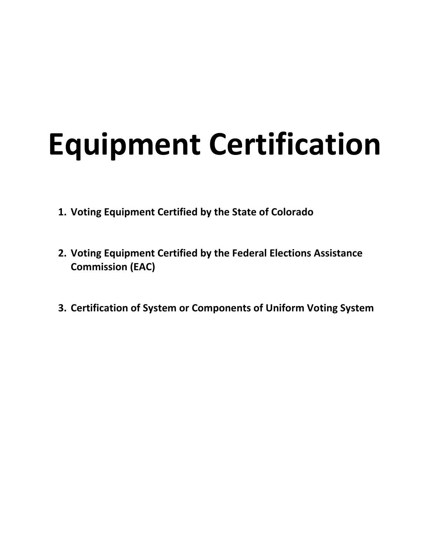# **Equipment Certification**

- **1. Voting Equipment Certified by the State of Colorado**
- **2. Voting Equipment Certified by the Federal Elections Assistance Commission (EAC)**
- **3. Certification of System or Components of Uniform Voting System**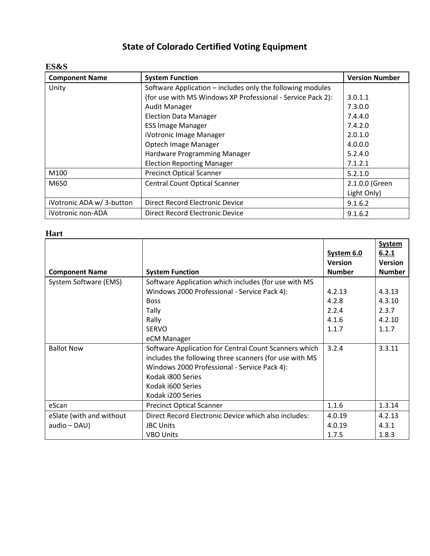### **State of Colorado Certified Voting Equipment**

#### **ES&S**

| <b>Component Name</b>     | <b>System Function</b>                                      | <b>Version Number</b> |
|---------------------------|-------------------------------------------------------------|-----------------------|
| Unity                     | Software Application – includes only the following modules  |                       |
|                           | (for use with MS Windows XP Professional - Service Pack 2): | 3.0.1.1               |
|                           | Audit Manager                                               | 7.3.0.0               |
|                           | <b>Election Data Manager</b>                                | 7.4.4.0               |
|                           | <b>ESS Image Manager</b>                                    | 7.4.2.0               |
|                           | iVotronic Image Manager                                     | 2.0.1.0               |
|                           | Optech Image Manager                                        | 4.0.0.0               |
|                           | Hardware Programming Manager                                | 5.2.4.0               |
|                           | <b>Election Reporting Manager</b>                           | 7.1.2.1               |
| M100                      | <b>Precinct Optical Scanner</b>                             | 5.2.1.0               |
| M650                      | <b>Central Count Optical Scanner</b>                        | 2.1.0.0 (Green        |
|                           |                                                             | Light Only)           |
| iVotronic ADA w/ 3-button | Direct Record Electronic Device                             | 9.1.6.2               |
| iVotronic non-ADA         | Direct Record Electronic Device                             | 9.1.6.2               |

#### **Hart**

|                          |                                                        | System 6.0     | <b>System</b><br>6.2.1 |
|--------------------------|--------------------------------------------------------|----------------|------------------------|
|                          |                                                        | <b>Version</b> | <b>Version</b>         |
| <b>Component Name</b>    | <b>System Function</b>                                 | <b>Number</b>  | <b>Number</b>          |
| System Software (EMS)    | Software Application which includes (for use with MS   |                |                        |
|                          | Windows 2000 Professional - Service Pack 4):           | 4.2.13         | 4.3.13                 |
|                          | <b>Boss</b>                                            | 4.2.8          | 4.3.10                 |
|                          | <b>Tally</b>                                           | 2.2.4          | 2.3.7                  |
|                          | Rally                                                  | 4.1.6          | 4.2.10                 |
|                          | <b>SERVO</b>                                           | 1.1.7          | 1.1.7                  |
|                          | eCM Manager                                            |                |                        |
| <b>Ballot Now</b>        | Software Application for Central Count Scanners which  | 3.2.4          | 3.3.11                 |
|                          | includes the following three scanners (for use with MS |                |                        |
|                          | Windows 2000 Professional - Service Pack 4):           |                |                        |
|                          | Kodak i800 Series                                      |                |                        |
|                          | Kodak i600 Series                                      |                |                        |
|                          | Kodak i200 Series                                      |                |                        |
| eScan                    | <b>Precinct Optical Scanner</b>                        | 1.1.6          | 1.3.14                 |
| eSlate (with and without | Direct Record Electronic Device which also includes:   | 4.0.19         | 4.2.13                 |
| audio - DAU)             | <b>JBC Units</b>                                       | 4.0.19         | 4.3.1                  |
|                          | <b>VBO Units</b>                                       | 1.7.5          | 1.8.3                  |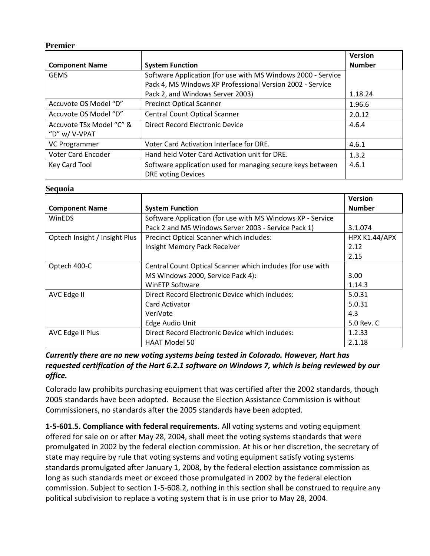#### **Premier**

|                           |                                                                                         | <b>Version</b> |
|---------------------------|-----------------------------------------------------------------------------------------|----------------|
| <b>Component Name</b>     | <b>System Function</b>                                                                  | <b>Number</b>  |
| <b>GEMS</b>               | Software Application (for use with MS Windows 2000 - Service                            |                |
|                           | Pack 4, MS Windows XP Professional Version 2002 - Service                               |                |
|                           | Pack 2, and Windows Server 2003)                                                        | 1.18.24        |
| Accuvote OS Model "D"     | <b>Precinct Optical Scanner</b>                                                         | 1.96.6         |
| Accuvote OS Model "D"     | Central Count Optical Scanner                                                           | 2.0.12         |
| Accuvote TSx Model "C" &  | Direct Record Electronic Device                                                         | 4.6.4          |
| "D" w/ V-VPAT             |                                                                                         |                |
| <b>VC Programmer</b>      | Voter Card Activation Interface for DRE.                                                | 4.6.1          |
| <b>Voter Card Encoder</b> | Hand held Voter Card Activation unit for DRE.                                           | 1.3.2          |
| Key Card Tool             | Software application used for managing secure keys between<br><b>DRE voting Devices</b> | 4.6.1          |

#### **Sequoia**

|                               |                                                                  | <b>Version</b> |
|-------------------------------|------------------------------------------------------------------|----------------|
| <b>Component Name</b>         | <b>System Function</b>                                           | <b>Number</b>  |
| <b>WinEDS</b>                 | Software Application (for use with MS Windows XP - Service       |                |
|                               | Pack 2 and MS Windows Server 2003 - Service Pack 1)              | 3.1.074        |
| Optech Insight / Insight Plus | Precinct Optical Scanner which includes:<br><b>HPX K1.44/APX</b> |                |
|                               | Insight Memory Pack Receiver                                     | 2.12           |
|                               |                                                                  | 2.15           |
| Optech 400-C                  | Central Count Optical Scanner which includes (for use with       |                |
|                               | MS Windows 2000, Service Pack 4):                                | 3.00           |
|                               | <b>WinETP Software</b>                                           | 1.14.3         |
| AVC Edge II                   | Direct Record Electronic Device which includes:                  | 5.0.31         |
|                               | Card Activator                                                   | 5.0.31         |
|                               | VeriVote                                                         | 4.3            |
|                               | Edge Audio Unit                                                  | 5.0 Rev. C     |
| AVC Edge II Plus              | Direct Record Electronic Device which includes:<br>1.2.33        |                |
|                               | <b>HAAT Model 50</b>                                             | 2.1.18         |

#### *Currently there are no new voting systems being tested in Colorado. However, Hart has requested certification of the Hart 6.2.1 software on Windows 7, which is being reviewed by our office.*

Colorado law prohibits purchasing equipment that was certified after the 2002 standards, though 2005 standards have been adopted. Because the Election Assistance Commission is without Commissioners, no standards after the 2005 standards have been adopted.

**1-5-601.5. Compliance with federal requirements.** All voting systems and voting equipment offered for sale on or after May 28, 2004, shall meet the voting systems standards that were promulgated in 2002 by the federal election commission. At his or her discretion, the secretary of state may require by rule that voting systems and voting equipment satisfy voting systems standards promulgated after January 1, 2008, by the federal election assistance commission as long as such standards meet or exceed those promulgated in 2002 by the federal election commission. Subject to section 1-5-608.2, nothing in this section shall be construed to require any political subdivision to replace a voting system that is in use prior to May 28, 2004.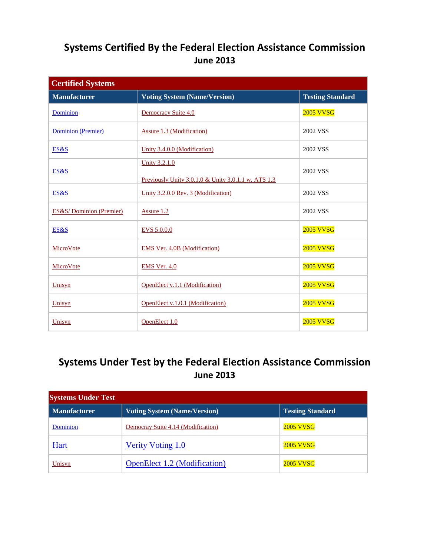### **Systems Certified By the Federal Election Assistance Commission June 2013**

| <b>Certified Systems</b>           |                                                                             |                         |  |
|------------------------------------|-----------------------------------------------------------------------------|-------------------------|--|
| <b>Manufacturer</b>                | <b>Voting System (Name/Version)</b>                                         | <b>Testing Standard</b> |  |
| Dominion                           | Democracy Suite 4.0                                                         | 2005 VVSG               |  |
| Dominion (Premier)                 | <b>Assure 1.3 (Modification)</b>                                            | 2002 VSS                |  |
| ES&S                               | Unity 3.4.0.0 (Modification)                                                | 2002 VSS                |  |
| ES&S                               | <b>Unity 3.2.1.0</b><br>Previously Unity 3.0.1.0 & Unity 3.0.1.1 w. ATS 1.3 | 2002 VSS                |  |
| ES&S                               | Unity 3.2.0.0 Rev. 3 (Modification)                                         | 2002 VSS                |  |
| <b>ES&amp;S/Dominion (Premier)</b> | Assure 1.2                                                                  | 2002 VSS                |  |
| ES&S                               | EVS 5.0.0.0                                                                 | 2005 VVSG               |  |
| MicroVote                          | <b>EMS Ver. 4.0B (Modification)</b>                                         | 2005 VVSG               |  |
| MicroVote                          | EMS Ver. 4.0                                                                | 2005 VVSG               |  |
| Unisyn                             | OpenElect v.1.1 (Modification)                                              | 2005 VVSG               |  |
| Unisyn                             | OpenElect v.1.0.1 (Modification)                                            | 2005 VVSG               |  |
| Unisyn                             | OpenElect 1.0                                                               | 2005 VVSG               |  |

### **Systems Under Test by the Federal Election Assistance Commission June 2013**

| <b>Systems Under Test</b> |                                     |                         |  |
|---------------------------|-------------------------------------|-------------------------|--|
| <b>Manufacturer</b>       | <b>Voting System (Name/Version)</b> | <b>Testing Standard</b> |  |
| Dominion                  | Democray Suite 4.14 (Modification)  | <b>2005 VVSG</b>        |  |
| Hart                      | <b>Verity Voting 1.0</b>            | <b>2005 VVSG</b>        |  |
| Unisyn                    | <b>OpenElect 1.2 (Modification)</b> | <b>2005 VVSG</b>        |  |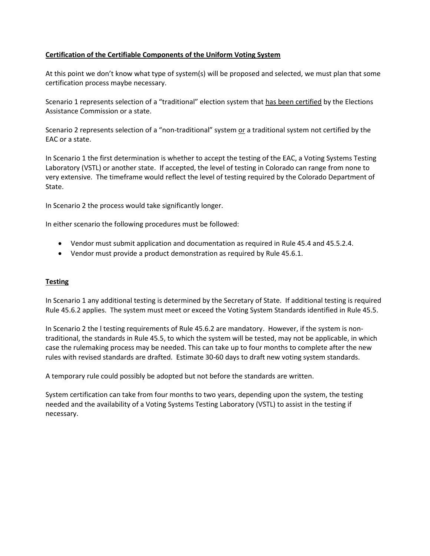#### **Certification of the Certifiable Components of the Uniform Voting System**

At this point we don't know what type of system(s) will be proposed and selected, we must plan that some certification process maybe necessary.

Scenario 1 represents selection of a "traditional" election system that has been certified by the Elections Assistance Commission or a state.

Scenario 2 represents selection of a "non-traditional" system or a traditional system not certified by the EAC or a state.

In Scenario 1 the first determination is whether to accept the testing of the EAC, a Voting Systems Testing Laboratory (VSTL) or another state. If accepted, the level of testing in Colorado can range from none to very extensive. The timeframe would reflect the level of testing required by the Colorado Department of State.

In Scenario 2 the process would take significantly longer.

In either scenario the following procedures must be followed:

- Vendor must submit application and documentation as required in Rule 45.4 and 45.5.2.4.
- Vendor must provide a product demonstration as required by Rule 45.6.1.

#### **Testing**

In Scenario 1 any additional testing is determined by the Secretary of State. If additional testing is required Rule 45.6.2 applies. The system must meet or exceed the Voting System Standards identified in Rule 45.5.

In Scenario 2 the l testing requirements of Rule 45.6.2 are mandatory. However, if the system is nontraditional, the standards in Rule 45.5, to which the system will be tested, may not be applicable, in which case the rulemaking process may be needed. This can take up to four months to complete after the new rules with revised standards are drafted. Estimate 30-60 days to draft new voting system standards.

A temporary rule could possibly be adopted but not before the standards are written.

System certification can take from four months to two years, depending upon the system, the testing needed and the availability of a Voting Systems Testing Laboratory (VSTL) to assist in the testing if necessary.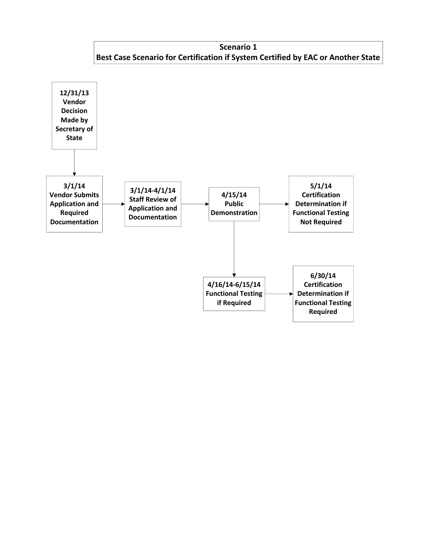**Scenario 1 Best Case Scenario for Certification if System Certified by EAC or Another State**

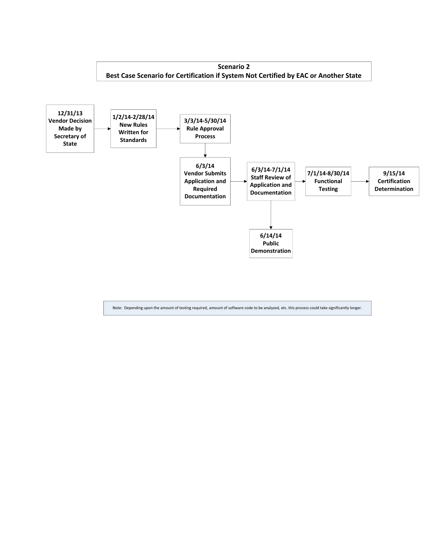

Note: Depending upon the amount of testing required, amount of software code to be analyzed, etc. this process could take significantly longer.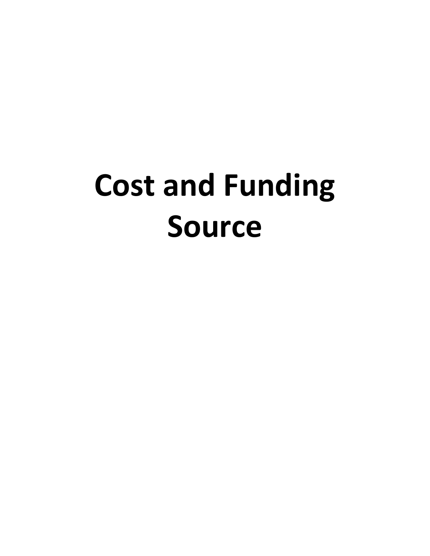# **Cost and Funding Source**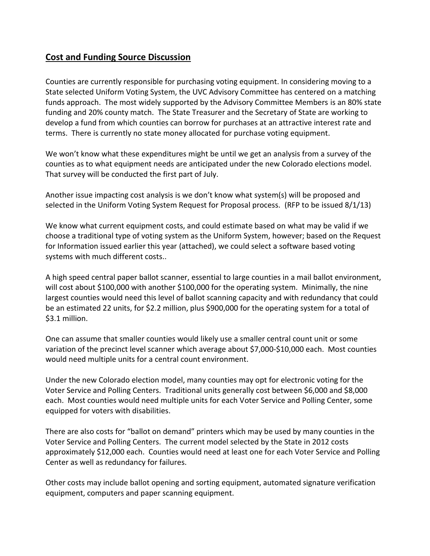#### **Cost and Funding Source Discussion**

Counties are currently responsible for purchasing voting equipment. In considering moving to a State selected Uniform Voting System, the UVC Advisory Committee has centered on a matching funds approach. The most widely supported by the Advisory Committee Members is an 80% state funding and 20% county match. The State Treasurer and the Secretary of State are working to develop a fund from which counties can borrow for purchases at an attractive interest rate and terms. There is currently no state money allocated for purchase voting equipment.

We won't know what these expenditures might be until we get an analysis from a survey of the counties as to what equipment needs are anticipated under the new Colorado elections model. That survey will be conducted the first part of July.

Another issue impacting cost analysis is we don't know what system(s) will be proposed and selected in the Uniform Voting System Request for Proposal process. (RFP to be issued 8/1/13)

We know what current equipment costs, and could estimate based on what may be valid if we choose a traditional type of voting system as the Uniform System, however; based on the Request for Information issued earlier this year (attached), we could select a software based voting systems with much different costs..

A high speed central paper ballot scanner, essential to large counties in a mail ballot environment, will cost about \$100,000 with another \$100,000 for the operating system. Minimally, the nine largest counties would need this level of ballot scanning capacity and with redundancy that could be an estimated 22 units, for \$2.2 million, plus \$900,000 for the operating system for a total of \$3.1 million.

One can assume that smaller counties would likely use a smaller central count unit or some variation of the precinct level scanner which average about \$7,000-\$10,000 each. Most counties would need multiple units for a central count environment.

Under the new Colorado election model, many counties may opt for electronic voting for the Voter Service and Polling Centers. Traditional units generally cost between \$6,000 and \$8,000 each. Most counties would need multiple units for each Voter Service and Polling Center, some equipped for voters with disabilities.

There are also costs for "ballot on demand" printers which may be used by many counties in the Voter Service and Polling Centers. The current model selected by the State in 2012 costs approximately \$12,000 each. Counties would need at least one for each Voter Service and Polling Center as well as redundancy for failures.

Other costs may include ballot opening and sorting equipment, automated signature verification equipment, computers and paper scanning equipment.